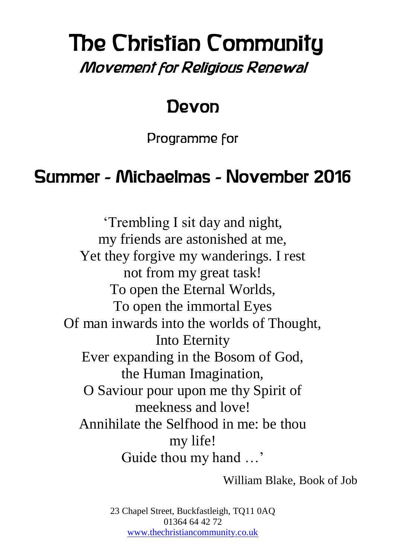# The Christian Community Movement for Religious Renewal

### Devon

Programme for

## Summer - Michaelmas - November 2016

'Trembling I sit day and night, my friends are astonished at me, Yet they forgive my wanderings. I rest not from my great task! To open the Eternal Worlds, To open the immortal Eyes Of man inwards into the worlds of Thought, Into Eternity Ever expanding in the Bosom of God, the Human Imagination, O Saviour pour upon me thy Spirit of meekness and love! Annihilate the Selfhood in me: be thou my life! Guide thou my hand …'

William Blake, Book of Job

23 Chapel Street, Buckfastleigh, TQ11 0AQ 01364 64 42 72 [www.thechristiancommunity.co.uk](http://www.thechristiancommunity.co.uk/)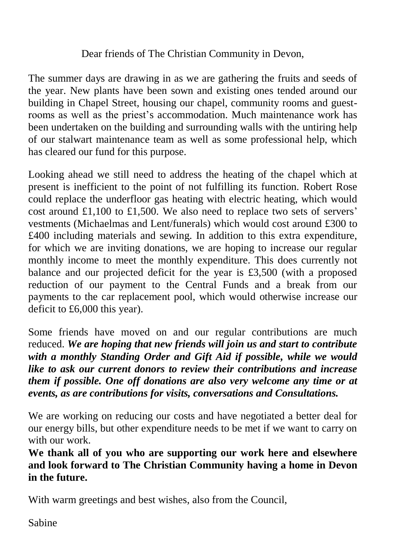#### Dear friends of The Christian Community in Devon,

The summer days are drawing in as we are gathering the fruits and seeds of the year. New plants have been sown and existing ones tended around our building in Chapel Street, housing our chapel, community rooms and guestrooms as well as the priest's accommodation. Much maintenance work has been undertaken on the building and surrounding walls with the untiring help of our stalwart maintenance team as well as some professional help, which has cleared our fund for this purpose.

Looking ahead we still need to address the heating of the chapel which at present is inefficient to the point of not fulfilling its function. Robert Rose could replace the underfloor gas heating with electric heating, which would cost around £1,100 to £1,500. We also need to replace two sets of servers' vestments (Michaelmas and Lent/funerals) which would cost around £300 to £400 including materials and sewing. In addition to this extra expenditure, for which we are inviting donations, we are hoping to increase our regular monthly income to meet the monthly expenditure. This does currently not balance and our projected deficit for the year is £3,500 (with a proposed reduction of our payment to the Central Funds and a break from our payments to the car replacement pool, which would otherwise increase our deficit to £6,000 this year).

Some friends have moved on and our regular contributions are much reduced. *We are hoping that new friends will join us and start to contribute with a monthly Standing Order and Gift Aid if possible, while we would like to ask our current donors to review their contributions and increase them if possible. One off donations are also very welcome any time or at events, as are contributions for visits, conversations and Consultations.*

We are working on reducing our costs and have negotiated a better deal for our energy bills, but other expenditure needs to be met if we want to carry on with our work.

**We thank all of you who are supporting our work here and elsewhere and look forward to The Christian Community having a home in Devon in the future.**

With warm greetings and best wishes, also from the Council,

Sabine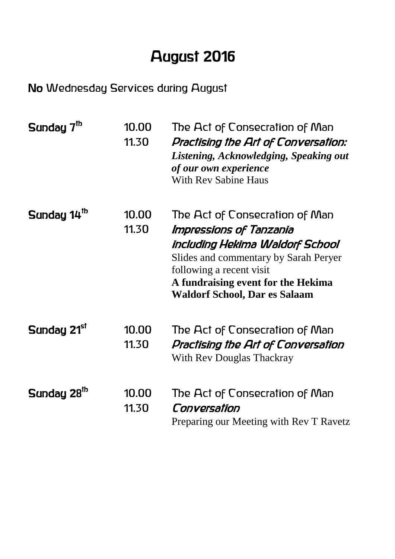### August 2016

#### No Wednesday Services during August

| Sunday 7 <sup>th</sup>  | 10.00<br>11.30 | The Act of Consecration of Man<br>Practising the Art of Conversation:<br>Listening, Acknowledging, Speaking out<br>of our own experience<br><b>With Rev Sabine Haus</b>                                                                         |
|-------------------------|----------------|-------------------------------------------------------------------------------------------------------------------------------------------------------------------------------------------------------------------------------------------------|
| Sunday 14 <sup>th</sup> | 10.00<br>11.30 | The Act of Consecration of Man<br>Impressions of Tanzania<br>including Hekima Waldorf School<br>Slides and commentary by Sarah Peryer<br>following a recent visit<br>A fundraising event for the Hekima<br><b>Waldorf School, Dar es Salaam</b> |
| Sunday 21 <sup>sr</sup> | 10.00<br>11.30 | The Act of Consecration of Man<br>Practising the Art of Conversation<br>With Rev Douglas Thackray                                                                                                                                               |
| Sunday 28 <sup>th</sup> | 10.00<br>11.30 | The Act of Consecration of Man<br>Conversation<br>Preparing our Meeting with Rev T Ravetz                                                                                                                                                       |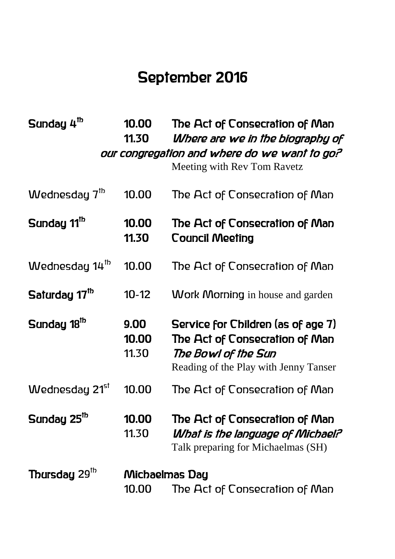### September 2016

| Sunday 4 <sup>th</sup>     | 10.00<br>11.30          | The Act of Consecration of Man<br>Where are we in the biography of<br>our congregation and where do we want to go?<br>Meeting with Rev Tom Ravetz |
|----------------------------|-------------------------|---------------------------------------------------------------------------------------------------------------------------------------------------|
| Wednesday $7th$            | 10.00                   | The Act of Consecration of Man                                                                                                                    |
| Sunday 11 <sup>th</sup>    | 10.00<br>11.30          | The Act of Consecration of Man<br><b>Council Meeting</b>                                                                                          |
| Wednesday 14 <sup>th</sup> | 10.00                   | The Act of Consecration of Man                                                                                                                    |
| Saturday 17 <sup>th</sup>  | $10-12$                 | <b>Work Morning</b> in house and garden                                                                                                           |
| Sunday 18 <sup>th</sup>    | 9.00<br>10.00<br>11.30  | Service for Children (as of age 7)<br>The Act of Consecration of Man<br>The Bowl of the Sun<br>Reading of the Play with Jenny Tanser              |
| Wednesday 21 <sup>st</sup> | 10.00                   | The Act of Consecration of Man                                                                                                                    |
| Sunday 25 <sup>th</sup>    | 10.00<br>11.30          | The Act of Consecration of Man<br>What is the language of Michael?<br>Talk preparing for Michaelmas (SH)                                          |
| Thursday 29 <sup>th</sup>  | Michaelmas Day<br>10.00 | The Act of Consecration of Man                                                                                                                    |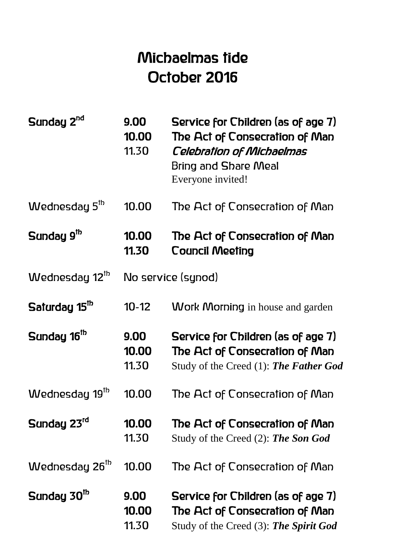### Michaelmas tide October 2016

| Sunday 2 <sup>nd</sup>     | 9.00<br>10.00<br>11.30 | Service for Children (as of age 7)<br>The Act of Consecration of Man<br><b>Celebration of Michaelmas</b><br>Bring and Share Meal<br>Everyone invited! |  |
|----------------------------|------------------------|-------------------------------------------------------------------------------------------------------------------------------------------------------|--|
| Wednesday 5 <sup>th</sup>  | 10.00                  | The Act of Consecration of Man                                                                                                                        |  |
| Sunday 9 <sup>th</sup>     | 10.00<br>11.30         | The Act of Consecration of Man<br><b>Council Meeting</b>                                                                                              |  |
| Wednesday 12 <sup>th</sup> | No service (synod)     |                                                                                                                                                       |  |
| Saturday 15 <sup>th</sup>  | $10-12$                | <b>Work Morning</b> in house and garden                                                                                                               |  |
| Sunday 16 <sup>th</sup>    | 9.00<br>10.00<br>11.30 | Service for Children (as of age 7)<br>The Act of Consecration of Man<br>Study of the Creed (1): The Father God                                        |  |
|                            |                        |                                                                                                                                                       |  |
| Wednesday 19 <sup>th</sup> | 10.00                  | The Act of Consecration of Man                                                                                                                        |  |
| Sunday 23rd                | 10.00<br>11.30         | The Act of Consecration of Man<br>Study of the Creed (2): The Son God                                                                                 |  |
| Wednesday 26 <sup>th</sup> | 10.00                  | The Act of Consecration of Man                                                                                                                        |  |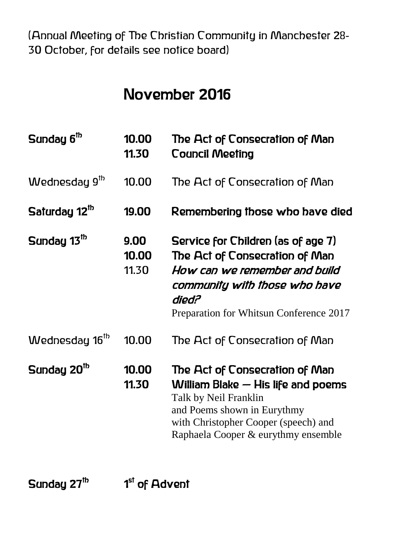(Annual Meeting of The Christian Community in Manchester 28- 30 October, for details see notice board)

#### November 2016

| Sunday 6 <sup>th</sup>     | 10.00<br>11.30         | The Act of Consecration of Man<br><b>Council Meeting</b>                                                                                                                                                      |
|----------------------------|------------------------|---------------------------------------------------------------------------------------------------------------------------------------------------------------------------------------------------------------|
| Wednesday 9 <sup>th</sup>  | 10.00                  | The Act of Consecration of Man                                                                                                                                                                                |
| Saturday 12 <sup>th</sup>  | 19.00                  | Remembering those who have died                                                                                                                                                                               |
| Sunday 13 <sup>th</sup>    | 9.00<br>10.00<br>11.30 | Service for Children (as of age 7)<br>The Act of Consecration of Man<br>How can we remember and build<br>community with those who have<br>died?<br>Preparation for Whitsun Conference 2017                    |
| Wednesday 16 <sup>th</sup> | 10.00                  | The Act of Consecration of Man                                                                                                                                                                                |
| Sunday 20 <sup>th</sup>    | 10.00<br>11.30         | The Act of Consecration of Man<br>William Blake $-$ His life and poems<br>Talk by Neil Franklin<br>and Poems shown in Eurythmy<br>with Christopher Cooper (speech) and<br>Raphaela Cooper & eurythmy ensemble |

Sunday 27<sup>th</sup>

as a set of Advent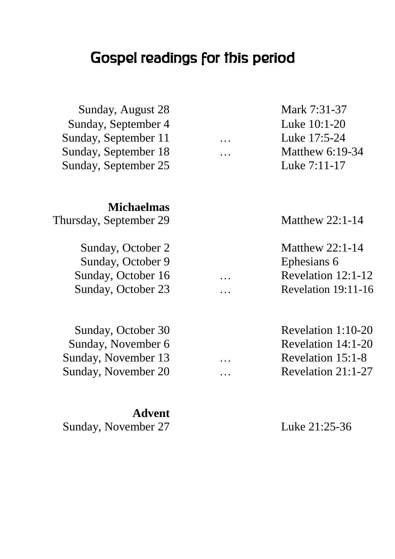### Gospel readings for this period

| Sunday, August 28      |           | Mark 7:31-37         |
|------------------------|-----------|----------------------|
| Sunday, September 4    |           | Luke 10:1-20         |
| Sunday, September 11   | $\ddotsc$ | Luke 17:5-24         |
| Sunday, September 18   |           | Matthew $6:19-34$    |
| Sunday, September 25   |           | Luke 7:11-17         |
| <b>Michaelmas</b>      |           |                      |
| Thursday, September 29 |           | Matthew $22:1-14$    |
| Sunday, October 2      |           | Matthew $22:1-14$    |
| Sunday, October 9      |           | Ephesians 6          |
| Sunday, October 16     |           | Revelation 12:1-12   |
| Sunday, October 23     |           | Revelation 19:11-16  |
| Sunday, October 30     |           | Revelation 1:10-20   |
| Sunday, November 6     |           | Revelation 14:1-20   |
| Sunday, November 13    |           | Revelation 15:1-8    |
| Sunday, November 20    | .         | Revelation $21:1-27$ |
|                        |           |                      |

**Advent** Sunday, November 27 Luke 21:25-36